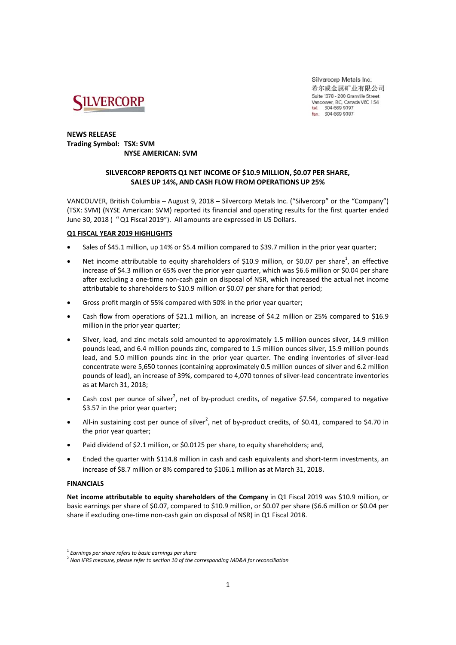

Silvercorp Metals Inc. 希尔威金属矿业有限公司 Suite 1378 - 200 Granville Street Vancouver, BC, Canada V6C 1S4 604 669 9397 tel fax. 604 669 9387

### **NEW WS RELEASE Trad ing Symbol: TSX: SVM NYSE AMER ICAN: SVM**

### **SILVE ERCORP REPO ORTS Q1 NET INCOME OF \$ \$10.9 MILLIO N, \$0.07 PER SHARE, SALES UP 14%, AND CA ASH FLOW FRO OM OPERATI ONS UP 25%**

VANCOUVER, British Columbia – August 9, 2018 – Silvercorp Metals Inc. ("Silvercorp" or the "Company") (TSX: SVM) (NYSE American: SVM) reported its financial and operating results for the first quarter ended June 30, 2018 ("Q1 Fiscal 2019"). All amounts are expressed in US Dollars.

### **Q1 F ISCAL YEAR 20 019 HIGHLIGH HTS**

- $\bullet$ Sales of \$45.1 million, up 14% or \$5.4 million compared to \$39.7 million in the prior year quarter;
- $\blacksquare$ Net income attributable to equity shareholders of \$10.9 million, or \$0.07 per share<sup>1</sup>, an effective increase of \$4.3 million or 65% over the prior year quarter, which was \$6.6 million or \$0.04 per share after excluding a one-time non-cash gain on disposal of NSR, which increased the actual net income attributable to shareholders to \$10.9 million or \$0.07 per share for that period;
- $\bullet$ Gross profit margin of 55% compared with 50% in the prior year quarter;
- $\bullet$ Cash flow from operations of \$21.1 million, an increase of \$4.2 million or 25% compared to \$16.9 million in the prior year quarter;
- $\bullet$ Silver, lead, and zinc metals sold amounted to approximately 1.5 million ounces silver, 14.9 million pounds lead, and 6.4 million pounds zinc, compared to 1.5 million ounces silver, 15.9 million pounds lead, and 5.0 million pounds zinc in the prior year quarter. The ending inventories of silver-lead concentrate were 5,650 tonnes (containing approximately 0.5 million ounces of silver and 6.2 million pounds of lead), an increase of 39%, compared to 4,070 tonnes of silver-lead concentrate inventories as at March 3 31, 2018;
- $\bullet$ Cash cost per ounce of silver<sup>2</sup>, net of by-product credits, of negative \$7.54, compared to negative \$3.57 in the prior year quarter;
- $\bullet$ All-in sustaining cost per ounce of silver<sup>2</sup>, net of by-product credits, of \$0.41, compared to \$4.70 in the prior year quarter;
- $\bullet$ Paid dividend of \$2.1 million, or \$0.0125 per share, to equity shareholders; and,
- $\bullet$ Ended the quarter with \$114.8 million in cash and cash equivalents and short-term investments, an increase of \$8 8.7 million or 8% compared d to \$106.1 mi llion as at Ma rch 31, 2018.

### **FINA ANCIALS**

**Net income attributable to equity shareholders of the Company in Q1 Fiscal 2019 was \$10.9 million, or** basic earnings per share of \$0.07, compared to \$10.9 million, or \$0.07 per share (\$6.6 million or \$0.04 per share if excluding one-time non-cash gain on disposal of NSR) in Q1 Fiscal 2018.

<sup>1</sup> *Earn ings per share ref fers to basic earn ings per share*

 $^{\text{2}}$  Non IFRS measure, please refer to section 10 of the corresponding MD&A for reconciliation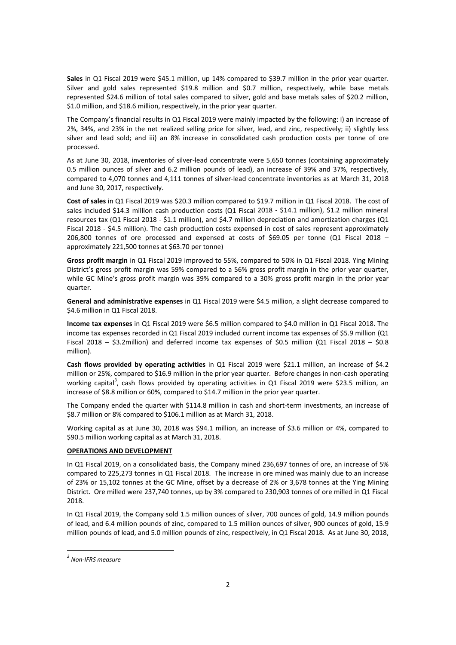**Sales** in Q1 Fiscal 2019 were \$45.1 million, up 14% compared to \$39.7 million in the prior year quarter. Silver and gold sales represented \$19.8 million and \$0.7 million, respectively, while base metals represented \$24.6 million of total sales compared to silver, gold and base metals sales of \$20.2 million, \$1.0 million, and \$18.6 million, respectively, in the prior year quarter.

The Company's financial results in Q1 Fiscal 2019 were mainly impacted by the following: i) an increase of 2%, 34%, and 23% in the net realized selling price for silver, lead, and zinc, respectively; ii) slightly less silver and lead sold; and iii) an 8% increase in consolidated cash production costs per tonne of ore processed.

As at June 30, 2018, inventories of silver-lead concentrate were 5,650 tonnes (containing approximately 0.5 million ounces of silver and 6.2 million pounds of lead), an increase of 39% and 37%, respectively, compared to 4,070 tonnes and 4,111 tonnes of silver‐lead concentrate inventories as at March 31, 2018 and June 30, 2017, respectively.

**Cost of sales** in Q1 Fiscal 2019 was \$20.3 million compared to \$19.7 million in Q1 Fiscal 2018. The cost of sales included \$14.3 million cash production costs (Q1 Fiscal 2018 - \$14.1 million), \$1.2 million mineral resources tax (Q1 Fiscal 2018 ‐ \$1.1 million), and \$4.7 million depreciation and amortization charges (Q1 Fiscal 2018 - \$4.5 million). The cash production costs expensed in cost of sales represent approximately 206,800 tonnes of ore processed and expensed at costs of \$69.05 per tonne (Q1 Fiscal 2018 – approximately 221,500 tonnes at \$63.70 per tonne)

**Gross profit margin** in Q1 Fiscal 2019 improved to 55%, compared to 50% in Q1 Fiscal 2018. Ying Mining District's gross profit margin was 59% compared to a 56% gross profit margin in the prior year quarter, while GC Mine's gross profit margin was 39% compared to a 30% gross profit margin in the prior year quarter.

**General and administrative expenses** in Q1 Fiscal 2019 were \$4.5 million, a slight decrease compared to \$4.6 million in Q1 Fiscal 2018.

**Income tax expenses** in Q1 Fiscal 2019 were \$6.5 million compared to \$4.0 million in Q1 Fiscal 2018. The income tax expenses recorded in Q1 Fiscal 2019 included current income tax expenses of \$5.9 million (Q1 Fiscal 2018 – \$3.2million) and deferred income tax expenses of \$0.5 million (Q1 Fiscal 2018 – \$0.8 million).

**Cash flows provided by operating activities** in Q1 Fiscal 2019 were \$21.1 million, an increase of \$4.2 million or 25%, compared to \$16.9 million in the prior year quarter. Before changes in non‐cash operating working capital<sup>3</sup>, cash flows provided by operating activities in Q1 Fiscal 2019 were \$23.5 million, an increase of \$8.8 million or 60%, compared to \$14.7 million in the prior year quarter.

The Company ended the quarter with \$114.8 million in cash and short-term investments, an increase of \$8.7 million or 8% compared to \$106.1 million as at March 31, 2018.

Working capital as at June 30, 2018 was \$94.1 million, an increase of \$3.6 million or 4%, compared to \$90.5 million working capital as at March 31, 2018.

### **OPERATIONS AND DEVELOPMENT**

In Q1 Fiscal 2019, on a consolidated basis, the Company mined 236,697 tonnes of ore, an increase of 5% compared to 225,273 tonnes in Q1 Fiscal 2018. The increase in ore mined was mainly due to an increase of 23% or 15,102 tonnes at the GC Mine, offset by a decrease of 2% or 3,678 tonnes at the Ying Mining District. Ore milled were 237,740 tonnes, up by 3% compared to 230,903 tonnes of ore milled in Q1 Fiscal 2018.

In Q1 Fiscal 2019, the Company sold 1.5 million ounces of silver, 700 ounces of gold, 14.9 million pounds of lead, and 6.4 million pounds of zinc, compared to 1.5 million ounces of silver, 900 ounces of gold, 15.9 million pounds of lead, and 5.0 million pounds of zinc, respectively, in Q1 Fiscal 2018. As at June 30, 2018,

*<sup>3</sup> Non‐IFRS measure*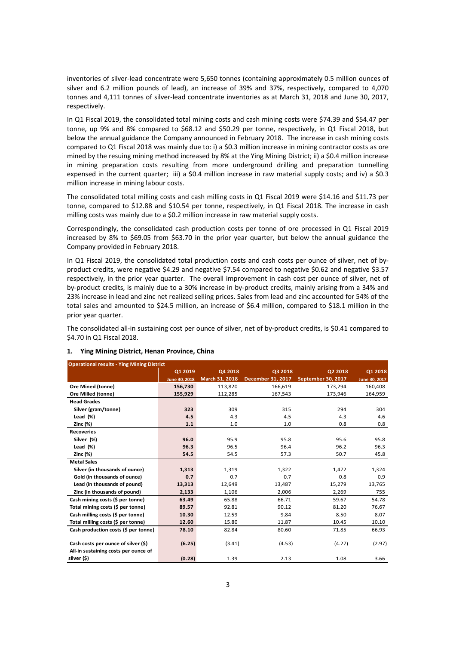inventories of silver-lead concentrate were 5,650 tonnes (containing approximately 0.5 million ounces of silver and 6.2 million pounds of lead), an increase of 39% and 37%, respectively, compared to 4,070 tonnes and 4,111 tonnes of silver-lead concentrate inventories as at March 31, 2018 and June 30, 2017, respectively.

In Q1 Fiscal 2019, the consolidated total mining costs and cash mining costs were \$74.39 and \$54.47 per tonne, up 9% and 8% compared to \$68.12 and \$50.29 per tonne, respectively, in Q1 Fiscal 2018, but below the annual guidance the Company announced in February 2018. The increase in cash mining costs compared to Q1 Fiscal 2018 was mainly due to: i) a \$0.3 million increase in mining contractor costs as ore mined by the resuing mining method increased by 8% at the Ying Mining District; ii) a \$0.4 million increase in mining preparation costs resulting from more underground drilling and preparation tunnelling expensed in the current quarter; iii) a \$0.4 million increase in raw material supply costs; and iv) a \$0.3 million increase in mining labour costs.

The consolidated total milling costs and cash milling costs in Q1 Fiscal 2019 were \$14.16 and \$11.73 per tonne, compared to \$12.88 and \$10.54 per tonne, respectively, in Q1 Fiscal 2018. The increase in cash milling costs was mainly due to a \$0.2 million increase in raw material supply costs.

Correspondingly, the consolidated cash production costs per tonne of ore processed in Q1 Fiscal 2019 increased by 8% to \$69.05 from \$63.70 in the prior year quarter, but below the annual guidance the Company provided in February 2018.

In Q1 Fiscal 2019, the consolidated total production costs and cash costs per ounce of silver, net of byproduct credits, were negative \$4.29 and negative \$7.54 compared to negative \$0.62 and negative \$3.57 respectively, in the prior year quarter. The overall improvement in cash cost per ounce of silver, net of by‐product credits, is mainly due to a 30% increase in by‐product credits, mainly arising from a 34% and 23% increase in lead and zinc net realized selling prices. Sales from lead and zinc accounted for 54% of the total sales and amounted to \$24.5 million, an increase of \$6.4 million, compared to \$18.1 million in the prior year quarter.

The consolidated all-in sustaining cost per ounce of silver, net of by-product credits, is \$0.41 compared to \$4.70 in Q1 Fiscal 2018.

| <b>Operational results - Ying Mining District</b> |               |                |                   |                           |               |  |  |
|---------------------------------------------------|---------------|----------------|-------------------|---------------------------|---------------|--|--|
|                                                   | Q1 2019       | Q4 2018        | Q3 2018           | Q2 2018                   | Q1 2018       |  |  |
|                                                   | June 30, 2018 | March 31, 2018 | December 31, 2017 | <b>September 30, 2017</b> | June 30, 2017 |  |  |
| Ore Mined (tonne)                                 | 156,730       | 113,820        | 166,619           | 173,294                   | 160,408       |  |  |
| Ore Milled (tonne)                                | 155,929       | 112,285        | 167,543           | 173,946                   | 164,959       |  |  |
| <b>Head Grades</b>                                |               |                |                   |                           |               |  |  |
| Silver (gram/tonne)                               | 323           | 309            | 315               | 294                       | 304           |  |  |
| Lead $(%)$                                        | 4.5           | 4.3            | 4.5               | 4.3                       | 4.6           |  |  |
| Zinc (%)                                          | 1.1           | 1.0            | 1.0               | 0.8                       | 0.8           |  |  |
| <b>Recoveries</b>                                 |               |                |                   |                           |               |  |  |
| Silver (%)                                        | 96.0          | 95.9           | 95.8              | 95.6                      | 95.8          |  |  |
| Lead $(%)$                                        | 96.3          | 96.5           | 96.4              | 96.2                      | 96.3          |  |  |
| Zinc (%)                                          | 54.5          | 54.5           | 57.3              | 50.7                      | 45.8          |  |  |
| <b>Metal Sales</b>                                |               |                |                   |                           |               |  |  |
| Silver (in thousands of ounce)                    | 1,313         | 1,319          | 1,322             | 1,472                     | 1,324         |  |  |
| Gold (in thousands of ounce)                      | 0.7           | 0.7            | 0.7               | 0.8                       | 0.9           |  |  |
| Lead (in thousands of pound)                      | 13,313        | 12,649         | 13,487            | 15,279                    | 13,765        |  |  |
| Zinc (in thousands of pound)                      | 2,133         | 1,106          | 2,006             | 2,269                     | 755           |  |  |
| Cash mining costs (\$ per tonne)                  | 63.49         | 65.88          | 66.71             | 59.67                     | 54.78         |  |  |
| Total mining costs (\$ per tonne)                 | 89.57         | 92.81          | 90.12             | 81.20                     | 76.67         |  |  |
| Cash milling costs (\$ per tonne)                 | 10.30         | 12.59          | 9.84              | 8.50                      | 8.07          |  |  |
| Total milling costs (\$ per tonne)                | 12.60         | 15.80          | 11.87             | 10.45                     | 10.10         |  |  |
| Cash production costs (\$ per tonne)              | 78.10         | 82.84          | 80.60             | 71.85                     | 66.93         |  |  |
|                                                   |               |                |                   |                           |               |  |  |
| Cash costs per ounce of silver (\$)               | (6.25)        | (3.41)         | (4.53)            | (4.27)                    | (2.97)        |  |  |
| All-in sustaining costs per ounce of              |               |                |                   |                           |               |  |  |
| silver (\$)                                       | (0.28)        | 1.39           | 2.13              | 1.08                      | 3.66          |  |  |

### **1. Ying Mining District, Henan Province, China**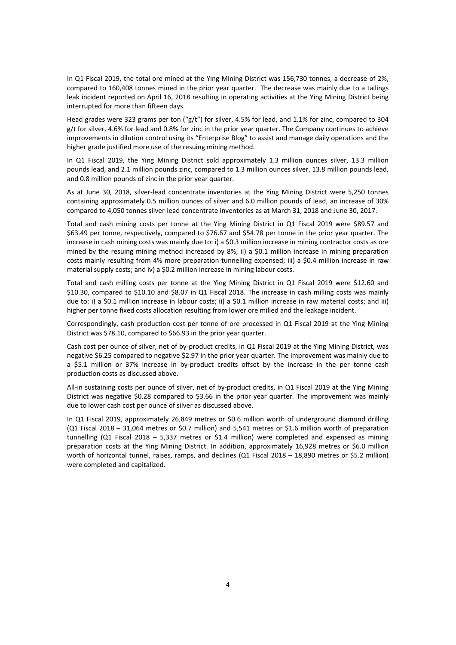In Q1 Fiscal 2019, the total ore mined at the Ying Mining District was 156,730 tonnes, a decrease of 2%, compared to 160,408 tonnes mined in the prior year quarter. The decrease was mainly due to a tailings leak incident reported on April 16, 2018 resulting in operating activities at the Ying Mining District being interrupted for more than fifteen days.

Head grades were 323 grams per ton ("g/t") for silver, 4.5% for lead, and 1.1% for zinc, compared to 304 g/t for silver, 4.6% for lead and 0.8% for zinc in the prior year quarter. The Company continues to achieve improvements in dilution control using its "Enterprise Blog" to assist and manage daily operations and the higher grade justified more use of the resuing mining method.

In Q1 Fiscal 2019, the Ying Mining District sold approximately 1.3 million ounces silver, 13.3 million pounds lead, and 2.1 million pounds zinc, compared to 1.3 million ounces silver, 13.8 million pounds lead, and 0.8 million pounds of zinc in the prior year quarter.

As at June 30, 2018, silver‐lead concentrate inventories at the Ying Mining District were 5,250 tonnes containing approximately 0.5 million ounces of silver and 6.0 million pounds of lead, an increase of 30% compared to 4,050 tonnes silver‐lead concentrate inventories as at March 31, 2018 and June 30, 2017.

Total and cash mining costs per tonne at the Ying Mining District in Q1 Fiscal 2019 were \$89.57 and \$63.49 per tonne, respectively, compared to \$76.67 and \$54.78 per tonne in the prior year quarter. The increase in cash mining costs was mainly due to: i) a \$0.3 million increase in mining contractor costs as ore mined by the resuing mining method increased by 8%; ii) a \$0.1 million increase in mining preparation costs mainly resulting from 4% more preparation tunnelling expensed; iii) a \$0.4 million increase in raw material supply costs; and iv) a \$0.2 million increase in mining labour costs.

Total and cash milling costs per tonne at the Ying Mining District in Q1 Fiscal 2019 were \$12.60 and \$10.30, compared to \$10.10 and \$8.07 in Q1 Fiscal 2018. The increase in cash milling costs was mainly due to: i) a \$0.1 million increase in labour costs; ii) a \$0.1 million increase in raw material costs; and iii) higher per tonne fixed costs allocation resulting from lower ore milled and the leakage incident.

Correspondingly, cash production cost per tonne of ore processed in Q1 Fiscal 2019 at the Ying Mining District was \$78.10, compared to \$66.93 in the prior year quarter.

Cash cost per ounce of silver, net of by‐product credits, in Q1 Fiscal 2019 at the Ying Mining District, was negative \$6.25 compared to negative \$2.97 in the prior year quarter. The improvement was mainly due to a \$5.1 million or 37% increase in by‐product credits offset by the increase in the per tonne cash production costs as discussed above.

All-in sustaining costs per ounce of silver, net of by-product credits, in Q1 Fiscal 2019 at the Ying Mining District was negative \$0.28 compared to \$3.66 in the prior year quarter. The improvement was mainly due to lower cash cost per ounce of silver as discussed above.

In Q1 Fiscal 2019, approximately 26,849 metres or \$0.6 million worth of underground diamond drilling (Q1 Fiscal 2018 – 31,064 metres or \$0.7 million) and 5,541 metres or \$1.6 million worth of preparation tunnelling (Q1 Fiscal 2018 – 5,337 metres or \$1.4 million) were completed and expensed as mining preparation costs at the Ying Mining District. In addition, approximately 16,928 metres or \$6.0 million worth of horizontal tunnel, raises, ramps, and declines (Q1 Fiscal 2018 – 18,890 metres or \$5.2 million) were completed and capitalized.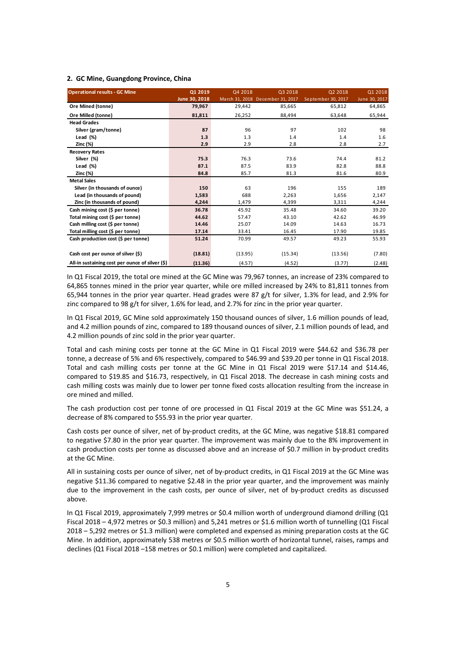### **2. GC Mine, Guangdong Province, China**

| <b>Operational results - GC Mine</b>               | Q1 2019       | Q4 2018 | Q3 2018                          | Q2 2018            | Q1 2018       |
|----------------------------------------------------|---------------|---------|----------------------------------|--------------------|---------------|
|                                                    | June 30, 2018 |         | March 31, 2018 December 31, 2017 | September 30, 2017 | June 30, 2017 |
| Ore Mined (tonne)                                  | 79,967        | 29,442  | 85,665                           | 65,812             | 64,865        |
| Ore Milled (tonne)                                 | 81,811        | 26,252  | 88,494                           | 63,648             | 65,944        |
| <b>Head Grades</b>                                 |               |         |                                  |                    |               |
| Silver (gram/tonne)                                | 87            | 96      | 97                               | 102                | 98            |
| Lead $(\%)$                                        | 1.3           | 1.3     | 1.4                              | 1.4                | 1.6           |
| Zinc (%)                                           | 2.9           | 2.9     | 2.8                              | 2.8                | 2.7           |
| <b>Recovery Rates</b>                              |               |         |                                  |                    |               |
| Silver (%)                                         | 75.3          | 76.3    | 73.6                             | 74.4               | 81.2          |
| Lead (%)                                           | 87.1          | 87.5    | 83.9                             | 82.8               | 88.8          |
| Zinc (%)                                           | 84.8          | 85.7    | 81.3                             | 81.6               | 80.9          |
| <b>Metal Sales</b>                                 |               |         |                                  |                    |               |
| Silver (in thousands of ounce)                     | 150           | 63      | 196                              | 155                | 189           |
| Lead (in thousands of pound)                       | 1,583         | 688     | 2,263                            | 1,656              | 2,147         |
| Zinc (in thousands of pound)                       | 4,244         | 1,479   | 4,399                            | 3,311              | 4,244         |
| Cash mining cost (\$ per tonne)                    | 36.78         | 45.92   | 35.48                            | 34.60              | 39.20         |
| Total mining cost (\$ per tonne)                   | 44.62         | 57.47   | 43.10                            | 42.62              | 46.99         |
| Cash milling cost (\$ per tonne)                   | 14.46         | 25.07   | 14.09                            | 14.63              | 16.73         |
| Total milling cost (\$ per tonne)                  | 17.14         | 33.41   | 16.45                            | 17.90              | 19.85         |
| Cash production cost (\$ per tonne)                | 51.24         | 70.99   | 49.57                            | 49.23              | 55.93         |
|                                                    |               |         |                                  |                    |               |
| Cash cost per ounce of silver (\$)                 | (18.81)       | (13.95) | (15.34)                          | (13.56)            | (7.80)        |
| All-in sustaining cost per ounce of silver $(\xi)$ | (11.36)       | (4.57)  | (4.52)                           | (3.77)             | (2.48)        |

In Q1 Fiscal 2019, the total ore mined at the GC Mine was 79,967 tonnes, an increase of 23% compared to 64,865 tonnes mined in the prior year quarter, while ore milled increased by 24% to 81,811 tonnes from 65,944 tonnes in the prior year quarter. Head grades were 87 g/t for silver, 1.3% for lead, and 2.9% for zinc compared to 98 g/t for silver, 1.6% for lead, and 2.7% for zinc in the prior year quarter.

In Q1 Fiscal 2019, GC Mine sold approximately 150 thousand ounces of silver, 1.6 million pounds of lead, and 4.2 million pounds of zinc, compared to 189 thousand ounces of silver, 2.1 million pounds of lead, and 4.2 million pounds of zinc sold in the prior year quarter.

Total and cash mining costs per tonne at the GC Mine in Q1 Fiscal 2019 were \$44.62 and \$36.78 per tonne, a decrease of 5% and 6% respectively, compared to \$46.99 and \$39.20 per tonne in Q1 Fiscal 2018. Total and cash milling costs per tonne at the GC Mine in Q1 Fiscal 2019 were \$17.14 and \$14.46, compared to \$19.85 and \$16.73, respectively, in Q1 Fiscal 2018. The decrease in cash mining costs and cash milling costs was mainly due to lower per tonne fixed costs allocation resulting from the increase in ore mined and milled.

The cash production cost per tonne of ore processed in Q1 Fiscal 2019 at the GC Mine was \$51.24, a decrease of 8% compared to \$55.93 in the prior year quarter.

Cash costs per ounce of silver, net of by‐product credits, at the GC Mine, was negative \$18.81 compared to negative \$7.80 in the prior year quarter. The improvement was mainly due to the 8% improvement in cash production costs per tonne as discussed above and an increase of \$0.7 million in by‐product credits at the GC Mine.

All in sustaining costs per ounce of silver, net of by‐product credits, in Q1 Fiscal 2019 at the GC Mine was negative \$11.36 compared to negative \$2.48 in the prior year quarter, and the improvement was mainly due to the improvement in the cash costs, per ounce of silver, net of by-product credits as discussed above.

In Q1 Fiscal 2019, approximately 7,999 metres or \$0.4 million worth of underground diamond drilling (Q1 Fiscal 2018 – 4,972 metres or \$0.3 million) and 5,241 metres or \$1.6 million worth of tunnelling (Q1 Fiscal 2018 – 5,292 metres or \$1.3 million) were completed and expensed as mining preparation costs at the GC Mine. In addition, approximately 538 metres or \$0.5 million worth of horizontal tunnel, raises, ramps and declines (Q1 Fiscal 2018 –158 metres or \$0.1 million) were completed and capitalized.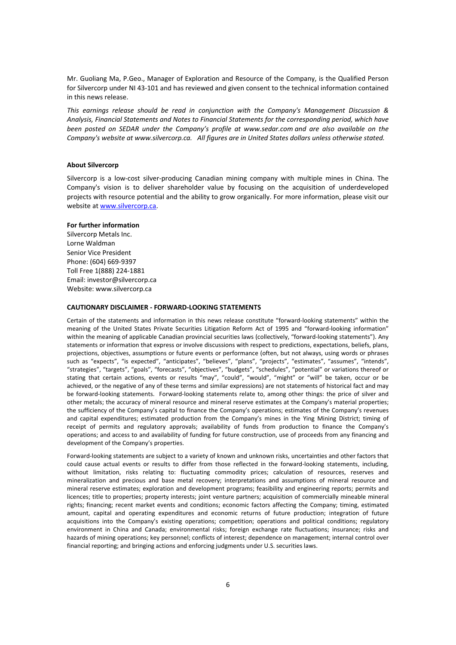Mr. Guoliang Ma, P.Geo., Manager of Exploration and Resource of the Company, is the Qualified Person for Silvercorp under NI 43‐101 and has reviewed and given consent to the technical information contained in this news release.

*This earnings release should be read in conjunction with the Company's Management Discussion & Analysis, Financial Statements and Notes to Financial Statements for the corresponding period, which have been posted on SEDAR under the Company's profile at www.sedar.com and are also available on the Company's website at www.silvercorp.ca. All figures are in United States dollars unless otherwise stated.*

#### **About Silvercorp**

Silvercorp is a low-cost silver-producing Canadian mining company with multiple mines in China. The Company's vision is to deliver shareholder value by focusing on the acquisition of underdeveloped projects with resource potential and the ability to grow organically. For more information, please visit our website at www.silvercorp.ca.

#### **For further information**

Silvercorp Metals Inc. Lorne Waldman Senior Vice President Phone: (604) 669‐9397 Toll Free 1(888) 224‐1881 Email: investor@silvercorp.ca Website: www.silvercorp.ca

#### **CAUTIONARY DISCLAIMER ‐ FORWARD‐LOOKING STATEMENTS**

Certain of the statements and information in this news release constitute "forward‐looking statements" within the meaning of the United States Private Securities Litigation Reform Act of 1995 and "forward‐looking information" within the meaning of applicable Canadian provincial securities laws (collectively, "forward-looking statements"). Any statements or information that express or involve discussions with respect to predictions, expectations, beliefs, plans, projections, objectives, assumptions or future events or performance (often, but not always, using words or phrases such as "expects", "is expected", "anticipates", "believes", "plans", "projects", "estimates", "assumes", "intends", "strategies", "targets", "goals", "forecasts", "objectives", "budgets", "schedules", "potential" or variations thereof or stating that certain actions, events or results "may", "could", "would", "might" or "will" be taken, occur or be achieved, or the negative of any of these terms and similar expressions) are not statements of historical fact and may be forward-looking statements. Forward-looking statements relate to, among other things: the price of silver and other metals; the accuracy of mineral resource and mineral reserve estimates at the Company's material properties; the sufficiency of the Company's capital to finance the Company's operations; estimates of the Company's revenues and capital expenditures; estimated production from the Company's mines in the Ying Mining District; timing of receipt of permits and regulatory approvals; availability of funds from production to finance the Company's operations; and access to and availability of funding for future construction, use of proceeds from any financing and development of the Company's properties.

Forward‐looking statements are subject to a variety of known and unknown risks, uncertainties and other factors that could cause actual events or results to differ from those reflected in the forward-looking statements, including, without limitation, risks relating to: fluctuating commodity prices; calculation of resources, reserves and mineralization and precious and base metal recovery; interpretations and assumptions of mineral resource and mineral reserve estimates; exploration and development programs; feasibility and engineering reports; permits and licences; title to properties; property interests; joint venture partners; acquisition of commercially mineable mineral rights; financing; recent market events and conditions; economic factors affecting the Company; timing, estimated amount, capital and operating expenditures and economic returns of future production; integration of future acquisitions into the Company's existing operations; competition; operations and political conditions; regulatory environment in China and Canada; environmental risks; foreign exchange rate fluctuations; insurance; risks and hazards of mining operations; key personnel; conflicts of interest; dependence on management; internal control over financial reporting; and bringing actions and enforcing judgments under U.S. securities laws.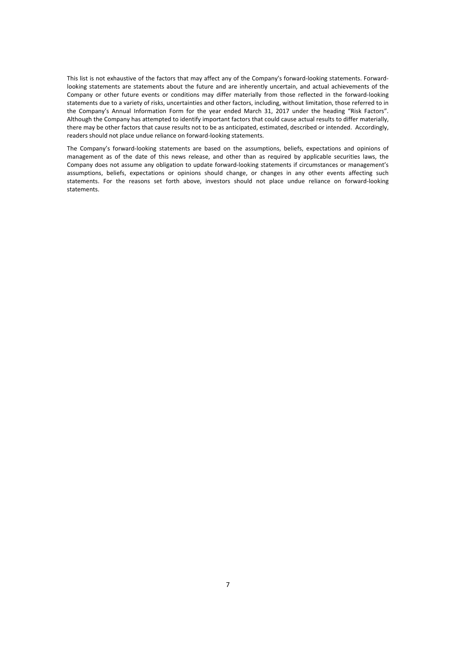This list is not exhaustive of the factors that may affect any of the Company's forward‐looking statements. Forward‐ looking statements are statements about the future and are inherently uncertain, and actual achievements of the Company or other future events or conditions may differ materially from those reflected in the forward‐looking statements due to a variety of risks, uncertainties and other factors, including, without limitation, those referred to in the Company's Annual Information Form for the year ended March 31, 2017 under the heading "Risk Factors". Although the Company has attempted to identify important factors that could cause actual results to differ materially, there may be other factors that cause results not to be as anticipated, estimated, described or intended. Accordingly, readers should not place undue reliance on forward‐looking statements.

The Company's forward‐looking statements are based on the assumptions, beliefs, expectations and opinions of management as of the date of this news release, and other than as required by applicable securities laws, the Company does not assume any obligation to update forward‐looking statements if circumstances or management's assumptions, beliefs, expectations or opinions should change, or changes in any other events affecting such statements. For the reasons set forth above, investors should not place undue reliance on forward-looking statements.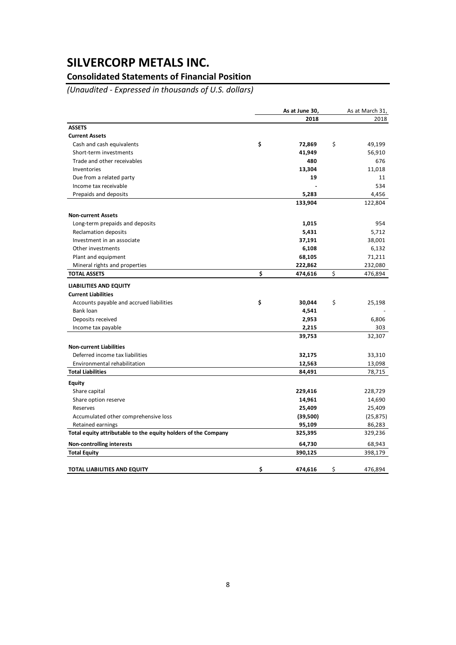### **Consolidated Statements of Financial Position**

*(Unaudited ‐ Expressed in thousands of U.S. dollars)*

|                                                                | As at June 30, |    | As at March 31, |
|----------------------------------------------------------------|----------------|----|-----------------|
|                                                                | 2018           |    | 2018            |
| <b>ASSETS</b>                                                  |                |    |                 |
| <b>Current Assets</b>                                          |                |    |                 |
| Cash and cash equivalents                                      | \$<br>72,869   | \$ | 49,199          |
| Short-term investments                                         | 41,949         |    | 56,910          |
| Trade and other receivables                                    | 480            |    | 676             |
| Inventories                                                    | 13,304         |    | 11,018          |
| Due from a related party                                       | 19             |    | 11              |
| Income tax receivable                                          |                |    | 534             |
| Prepaids and deposits                                          | 5,283          |    | 4,456           |
|                                                                | 133,904        |    | 122,804         |
| <b>Non-current Assets</b>                                      |                |    |                 |
| Long-term prepaids and deposits                                | 1,015          |    | 954             |
| Reclamation deposits                                           | 5,431          |    | 5,712           |
| Investment in an associate                                     | 37,191         |    | 38,001          |
| Other investments                                              | 6,108          |    | 6,132           |
| Plant and equipment                                            | 68,105         |    | 71,211          |
| Mineral rights and properties                                  | 222,862        |    | 232,080         |
| <b>TOTAL ASSETS</b>                                            | \$<br>474,616  | \$ | 476,894         |
| <b>LIABILITIES AND EQUITY</b>                                  |                |    |                 |
| <b>Current Liabilities</b>                                     |                |    |                 |
| Accounts payable and accrued liabilities                       | \$<br>30,044   | \$ | 25,198          |
| Bank loan                                                      | 4,541          |    |                 |
| Deposits received                                              | 2,953          |    | 6,806           |
| Income tax payable                                             | 2,215          |    | 303             |
|                                                                | 39,753         |    | 32,307          |
| <b>Non-current Liabilities</b>                                 |                |    |                 |
| Deferred income tax liabilities                                | 32,175         |    | 33,310          |
| Environmental rehabilitation                                   | 12,563         |    | 13,098          |
| <b>Total Liabilities</b>                                       | 84,491         |    | 78,715          |
| <b>Equity</b>                                                  |                |    |                 |
| Share capital                                                  | 229,416        |    | 228,729         |
| Share option reserve                                           | 14,961         |    | 14,690          |
| Reserves                                                       | 25,409         |    | 25,409          |
| Accumulated other comprehensive loss                           | (39,500)       |    | (25, 875)       |
| Retained earnings                                              | 95,109         |    | 86,283          |
| Total equity attributable to the equity holders of the Company | 325,395        |    | 329,236         |
| <b>Non-controlling interests</b>                               | 64,730         |    | 68,943          |
| <b>Total Equity</b>                                            | 390,125        |    | 398,179         |
|                                                                |                |    |                 |
| TOTAL LIABILITIES AND EQUITY                                   | \$<br>474,616  | \$ | 476,894         |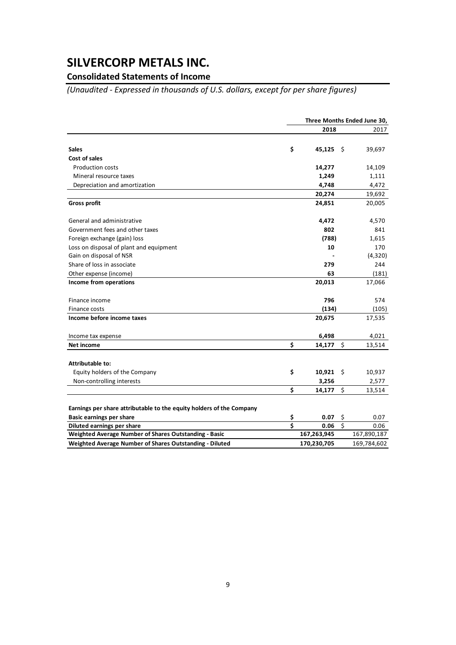### **Consolidated Statements of Income**

*(Unaudited ‐ Expressed in thousands of U.S. dollars, except for per share figures)*

|                                                                      |    | Three Months Ended June 30, |     |             |
|----------------------------------------------------------------------|----|-----------------------------|-----|-------------|
|                                                                      |    | 2018                        |     | 2017        |
|                                                                      |    |                             |     |             |
| <b>Sales</b>                                                         | \$ | 45,125                      | -\$ | 39,697      |
| Cost of sales                                                        |    |                             |     |             |
| <b>Production costs</b>                                              |    | 14,277                      |     | 14,109      |
| Mineral resource taxes                                               |    | 1,249                       |     | 1,111       |
| Depreciation and amortization                                        |    | 4,748                       |     | 4,472       |
|                                                                      |    | 20,274                      |     | 19,692      |
| <b>Gross profit</b>                                                  |    | 24,851                      |     | 20,005      |
| General and administrative                                           |    | 4,472                       |     | 4,570       |
| Government fees and other taxes                                      |    | 802                         |     | 841         |
| Foreign exchange (gain) loss                                         |    | (788)                       |     | 1,615       |
| Loss on disposal of plant and equipment                              |    | 10                          |     | 170         |
| Gain on disposal of NSR                                              |    |                             |     | (4,320)     |
| Share of loss in associate                                           |    | 279                         | 244 |             |
| Other expense (income)                                               |    | 63                          |     | (181)       |
| Income from operations                                               |    | 20,013                      |     | 17,066      |
| Finance income                                                       |    | 796                         |     | 574         |
| Finance costs                                                        |    | (134)                       |     | (105)       |
| Income before income taxes                                           |    | 20,675                      |     | 17,535      |
| Income tax expense                                                   |    | 6,498                       |     | 4,021       |
| Net income                                                           | \$ | 14,177                      | \$  | 13,514      |
| Attributable to:                                                     |    |                             |     |             |
| Equity holders of the Company                                        | \$ | $10,921$ \$                 |     | 10,937      |
| Non-controlling interests                                            |    | 3,256                       |     | 2,577       |
|                                                                      | \$ | 14,177                      | \$  | 13,514      |
| Earnings per share attributable to the equity holders of the Company |    |                             |     |             |
| <b>Basic earnings per share</b>                                      | \$ | 0.07                        | \$  | 0.07        |
| Diluted earnings per share                                           | Ŝ  | 0.06                        | Ś   | 0.06        |
| Weighted Average Number of Shares Outstanding - Basic                |    | 167,263,945                 |     | 167,890,187 |
| Weighted Average Number of Shares Outstanding - Diluted              |    | 170,230,705                 |     | 169,784,602 |
|                                                                      |    |                             |     |             |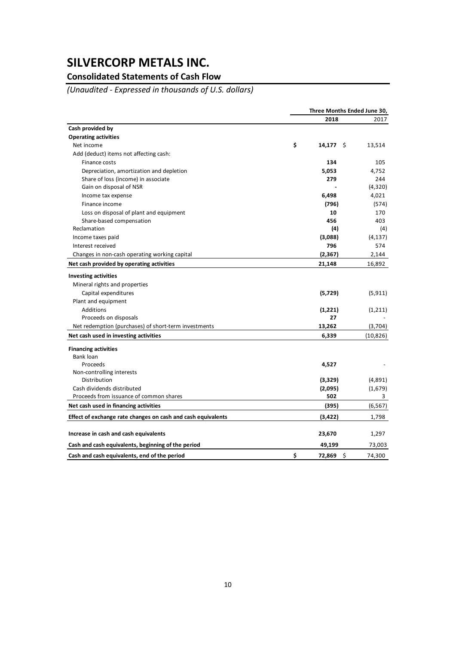## **Consolidated Statements of Cash Flow**

*(Unaudited ‐ Expressed in thousands of U.S. dollars)*

|                                                              | Three Months Ended June 30, |           |  |
|--------------------------------------------------------------|-----------------------------|-----------|--|
|                                                              | 2018                        | 2017      |  |
| Cash provided by                                             |                             |           |  |
| <b>Operating activities</b>                                  |                             |           |  |
| Net income                                                   | \$<br>$14,177$ \$           | 13,514    |  |
| Add (deduct) items not affecting cash:                       |                             |           |  |
| Finance costs                                                | 134                         | 105       |  |
| Depreciation, amortization and depletion                     | 5,053                       | 4,752     |  |
| Share of loss (income) in associate                          | 279                         | 244       |  |
| Gain on disposal of NSR                                      |                             | (4,320)   |  |
| Income tax expense                                           | 6,498                       | 4,021     |  |
| Finance income                                               | (796)                       | (574)     |  |
| Loss on disposal of plant and equipment                      | 10                          | 170       |  |
| Share-based compensation                                     | 456                         | 403       |  |
| Reclamation                                                  | (4)                         | (4)       |  |
| Income taxes paid                                            | (3,088)                     | (4, 137)  |  |
| Interest received                                            | 796                         | 574       |  |
| Changes in non-cash operating working capital                | (2, 367)                    | 2,144     |  |
| Net cash provided by operating activities                    | 21,148                      | 16,892    |  |
| <b>Investing activities</b>                                  |                             |           |  |
| Mineral rights and properties                                |                             |           |  |
| Capital expenditures                                         | (5,729)                     | (5, 911)  |  |
| Plant and equipment                                          |                             |           |  |
| Additions                                                    | (1,221)                     | (1,211)   |  |
| Proceeds on disposals                                        | 27                          |           |  |
| Net redemption (purchases) of short-term investments         | 13,262                      | (3,704)   |  |
| Net cash used in investing activities                        | 6,339                       | (10, 826) |  |
|                                                              |                             |           |  |
| <b>Financing activities</b><br>Bank loan                     |                             |           |  |
| Proceeds                                                     | 4,527                       |           |  |
| Non-controlling interests                                    |                             |           |  |
| Distribution                                                 | (3, 329)                    | (4,891)   |  |
| Cash dividends distributed                                   | (2,095)                     | (1,679)   |  |
| Proceeds from issuance of common shares                      | 502                         | 3         |  |
| Net cash used in financing activities                        | (395)                       | (6, 567)  |  |
| Effect of exchange rate changes on cash and cash equivalents | (3, 422)                    | 1,798     |  |
|                                                              |                             |           |  |
| Increase in cash and cash equivalents                        | 23,670                      | 1,297     |  |
| Cash and cash equivalents, beginning of the period           | 49,199                      | 73,003    |  |
| Cash and cash equivalents, end of the period                 | \$<br>72,869<br>Ś.          | 74,300    |  |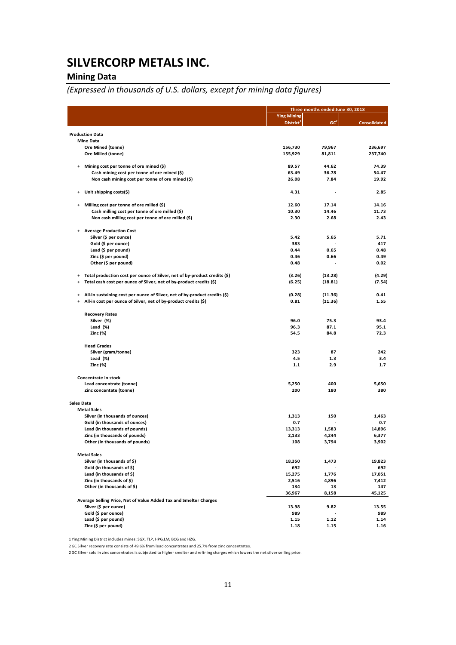### **Mining Data**

## *(Expressed in thousands of U.S. dollars, except for mining data figures)*

|                                                                                                         |                                             | Three months ended June 30, 2018 |                     |
|---------------------------------------------------------------------------------------------------------|---------------------------------------------|----------------------------------|---------------------|
|                                                                                                         | <b>Ying Mining</b><br>District <sup>1</sup> | GC <sup>2</sup>                  | <b>Consolidated</b> |
| <b>Production Data</b>                                                                                  |                                             |                                  |                     |
| <b>Mine Data</b>                                                                                        |                                             |                                  |                     |
| Ore Mined (tonne)                                                                                       | 156,730                                     | 79,967                           | 236,697             |
| Ore Milled (tonne)                                                                                      | 155,929                                     | 81,811                           | 237,740             |
| Mining cost per tonne of ore mined (\$)<br>$+$                                                          | 89.57                                       | 44.62                            | 74.39               |
| Cash mining cost per tonne of ore mined (\$)                                                            | 63.49                                       | 36.78                            | 54.47               |
| Non cash mining cost per tonne of ore mined (\$)                                                        | 26.08                                       | 7.84                             | 19.92               |
| Unit shipping costs(\$)                                                                                 | 4.31                                        |                                  | 2.85                |
| Milling cost per tonne of ore milled (\$)<br>$+$                                                        | 12.60                                       | 17.14                            | 14.16               |
| Cash milling cost per tonne of ore milled (\$)                                                          | 10.30                                       | 14.46                            | 11.73               |
| Non cash milling cost per tonne of ore milled (\$)                                                      | 2.30                                        | 2.68                             | 2.43                |
| <b>Average Production Cost</b><br>$+$                                                                   |                                             |                                  |                     |
| Silver (\$ per ounce)                                                                                   | 5.42                                        | 5.65                             | 5.71                |
| Gold (\$ per ounce)                                                                                     | 383                                         | ÷                                | 417                 |
| Lead (\$ per pound)                                                                                     | 0.44                                        | 0.65                             | 0.48                |
| Zinc (\$ per pound)                                                                                     | 0.46<br>0.48                                | 0.66                             | 0.49<br>0.02        |
| Other (\$ per pound)                                                                                    |                                             |                                  |                     |
| Total production cost per ounce of Silver, net of by-product credits (\$)<br>$\ddot{}$                  | (3.26)                                      | (13.28)                          | (4.29)              |
| Total cash cost per ounce of Silver, net of by-product credits (\$)<br>$\begin{array}{c} + \end{array}$ | (6.25)                                      | (18.81)                          | (7.54)              |
| All-in sustaining cost per ounce of Silver, net of by-product credits (\$)<br>$+$                       | (0.28)                                      | (11.36)                          | 0.41                |
| All-in cost per ounce of Silver, net of by-product credits (\$)<br>$\begin{array}{c} + \end{array}$     | 0.81                                        | (11.36)                          | 1.55                |
| <b>Recovery Rates</b>                                                                                   |                                             |                                  |                     |
| Silver (%)                                                                                              | 96.0                                        | 75.3                             | 93.4                |
| Lead (%)                                                                                                | 96.3                                        | 87.1                             | 95.1                |
| Zinc (%)                                                                                                | 54.5                                        | 84.8                             | 72.3                |
| <b>Head Grades</b>                                                                                      |                                             |                                  |                     |
| Silver (gram/tonne)                                                                                     | 323                                         | 87                               | 242                 |
| Lead (%)                                                                                                | 4.5                                         | 1.3                              | 3.4                 |
| Zinc (%)                                                                                                | 1.1                                         | 2.9                              | 1.7                 |
| Concentrate in stock                                                                                    |                                             |                                  |                     |
| Lead concentrate (tonne)                                                                                | 5,250                                       | 400                              | 5,650               |
| Zinc concentate (tonne)                                                                                 | 200                                         | 180                              | 380                 |
| Sales Data<br><b>Metal Sales</b>                                                                        |                                             |                                  |                     |
| Silver (in thousands of ounces)                                                                         | 1,313                                       | 150                              | 1.463               |
| Gold (in thousands of ounces)                                                                           | 0.7                                         |                                  | 0.7                 |
| Lead (in thousands of pounds)                                                                           | 13,313                                      | 1,583                            | 14,896              |
| Zinc (in thousands of pounds)                                                                           | 2,133                                       | 4,244                            | 6,377               |
| Other (in thousands of pounds)                                                                          | 108                                         | 3,794                            | 3,902               |
| <b>Metal Sales</b>                                                                                      |                                             |                                  |                     |
| Silver (in thousands of \$)                                                                             | 18,350                                      | 1,473                            | 19,823              |
| Gold (in thousands of \$)                                                                               | 692                                         |                                  | 692                 |
| Lead (in thousands of \$)                                                                               | 15,275                                      | 1,776                            | 17,051              |
| Zinc (in thousands of \$)                                                                               | 2,516                                       | 4,896                            | 7,412               |
| Other (in thousands of \$)                                                                              | 134<br>36,967                               | 13<br>8,158                      | 147<br>45,125       |
| Average Selling Price, Net of Value Added Tax and Smelter Charges                                       |                                             |                                  |                     |
| Silver (\$ per ounce)                                                                                   | 13.98                                       | 9.82                             | 13.55               |
| Gold (\$ per ounce)                                                                                     | 989                                         |                                  | 989                 |
| Lead (\$ per pound)                                                                                     | 1.15                                        | 1.12                             | 1.14                |
| Zinc (\$ per pound)                                                                                     | 1.18                                        | 1.15                             | 1.16                |

1 Ying Mining District includes mines: SGX, TLP, HPG,LM, BCG and HZG.

2GC Silver recovery rate consists of 49.6% from lead concentrates and 25.7% from zinc concentrates.

2GC Silversold in zinc concentrates is subjected to highersmelter and refining charges which lowers the net silverselling price.